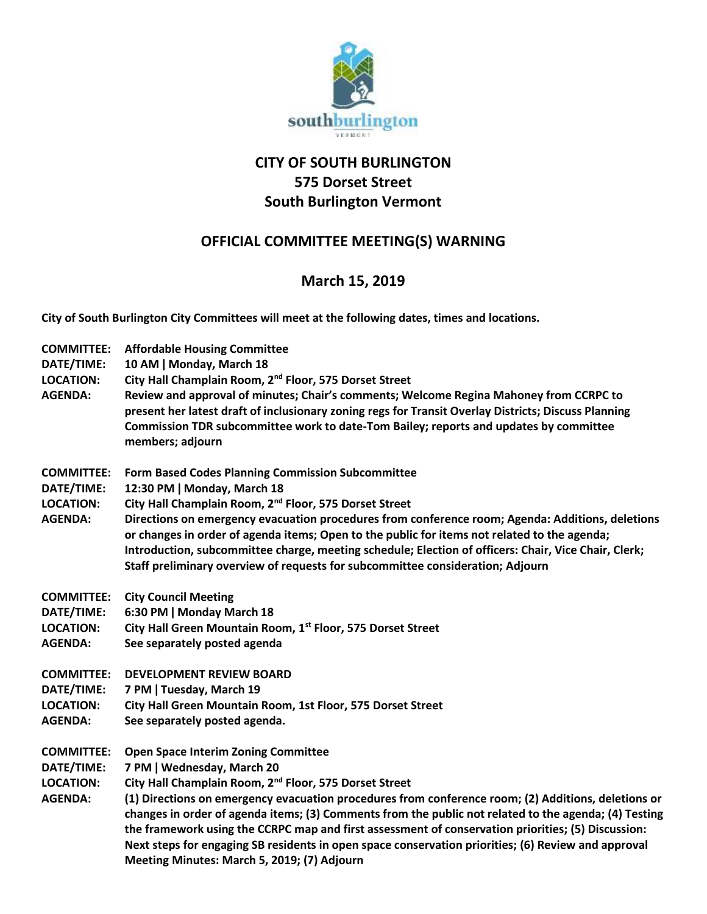

## **CITY OF SOUTH BURLINGTON 575 Dorset Street South Burlington Vermont**

## **OFFICIAL COMMITTEE MEETING(S) WARNING**

## **March 15, 2019**

**City of South Burlington City Committees will meet at the following dates, times and locations.** 

**COMMITTEE: Affordable Housing Committee DATE/TIME: 10 AM ǀ Monday, March 18 LOCATION: City Hall Champlain Room, 2nd Floor, 575 Dorset Street AGENDA: Review and approval of minutes; Chair's comments; Welcome Regina Mahoney from CCRPC to present her latest draft of inclusionary zoning regs for Transit Overlay Districts; Discuss Planning Commission TDR subcommittee work to date-Tom Bailey; reports and updates by committee members; adjourn COMMITTEE: Form Based Codes Planning Commission Subcommittee DATE/TIME: 12:30 PM ǀ Monday, March 18 LOCATION: City Hall Champlain Room, 2nd Floor, 575 Dorset Street AGENDA: Directions on emergency evacuation procedures from conference room; Agenda: Additions, deletions or changes in order of agenda items; Open to the public for items not related to the agenda; Introduction, subcommittee charge, meeting schedule; Election of officers: Chair, Vice Chair, Clerk; Staff preliminary overview of requests for subcommittee consideration; Adjourn COMMITTEE: City Council Meeting DATE/TIME: 6:30 PM ǀ Monday March 18 LOCATION: City Hall Green Mountain Room, 1st Floor, 575 Dorset Street AGENDA: See separately posted agenda COMMITTEE: DEVELOPMENT REVIEW BOARD DATE/TIME: 7 PM ǀ Tuesday, March 19 LOCATION: City Hall Green Mountain Room, 1st Floor, 575 Dorset Street AGENDA: See separately posted agenda. COMMITTEE: Open Space Interim Zoning Committee DATE/TIME: 7 PM ǀ Wednesday, March 20 LOCATION: City Hall Champlain Room, 2nd Floor, 575 Dorset Street AGENDA: (1) Directions on emergency evacuation procedures from conference room; (2) Additions, deletions or changes in order of agenda items; (3) Comments from the public not related to the agenda; (4) Testing the framework using the CCRPC map and first assessment of conservation priorities; (5) Discussion: Next steps for engaging SB residents in open space conservation priorities; (6) Review and approval Meeting Minutes: March 5, 2019; (7) Adjourn**